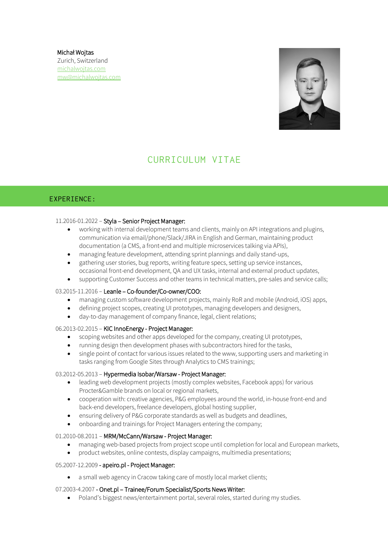Michał Wojtas Zurich, Switzerland [michalwojtas.com](http://www.michalwojtas.com/) [mw@michalwojtas.com](mailto:mw@michalwojtas.com)



# CURRICULUM VITAE

# EXPERIENCE:

## 11.2016-01.2022 – Styla – Senior Project Manager:

- working with internal development teams and clients, mainly on API integrations and plugins, communication via email/phone/Slack/JIRA in English and German, maintaining product documentation (a CMS, a front-end and multiple microservices talking via APIs),
- managing feature development, attending sprint plannings and daily stand-ups,
- gathering user stories, bug reports, writing feature specs, setting up service instances, occasional front-end development, QA and UX tasks, internal and external product updates,
- supporting Customer Success and other teams in technical matters, pre-sales and service calls;

#### 03.2015-11.2016 – Leanle – Co-founder/Co-owner/COO:

- managing custom software development projects, mainly RoR and mobile (Android, iOS) apps,
- defining project scopes, creating UI prototypes, managing developers and designers,
- day-to-day management of company finance, legal, client relations;

## 06.2013-02.2015 – KIC InnoEnergy - Project Manager:

- scoping websites and other apps developed for the company, creating UI prototypes,
- running design then development phases with subcontractors hired for the tasks,
- single point of contact for various issues related to the www, supporting users and marketing in tasks ranging from Google Sites through Analytics to CMS trainings;

#### 03.2012-05.2013 – Hypermedia Isobar/Warsaw - Project Manager:

- leading web development projects (mostly complex websites, Facebook apps) for various Procter&Gamble brands on local or regional markets,
- cooperation with: creative agencies, P&G employees around the world, in-house front-end and back-end developers, freelance developers, global hosting supplier,
- ensuring delivery of P&G corporate standards as well as budgets and deadlines,
- onboarding and trainings for Project Managers entering the company;

## 01.2010-08.2011 – MRM/McCann/Warsaw - Project Manager:

- managing web-based projects from project scope until completion for local and European markets,
- product websites, online contests, display campaigns, multimedia presentations;

#### 05.2007-12.2009 - apeiro.pl - Project Manager:

a small web agency in Cracow taking care of mostly local market clients;

## 07.2003-4.2007 - Onet.pl – Trainee/Forum Specialist/Sports News Writer:

Poland's biggest news/entertainment portal, several roles, started during my studies.